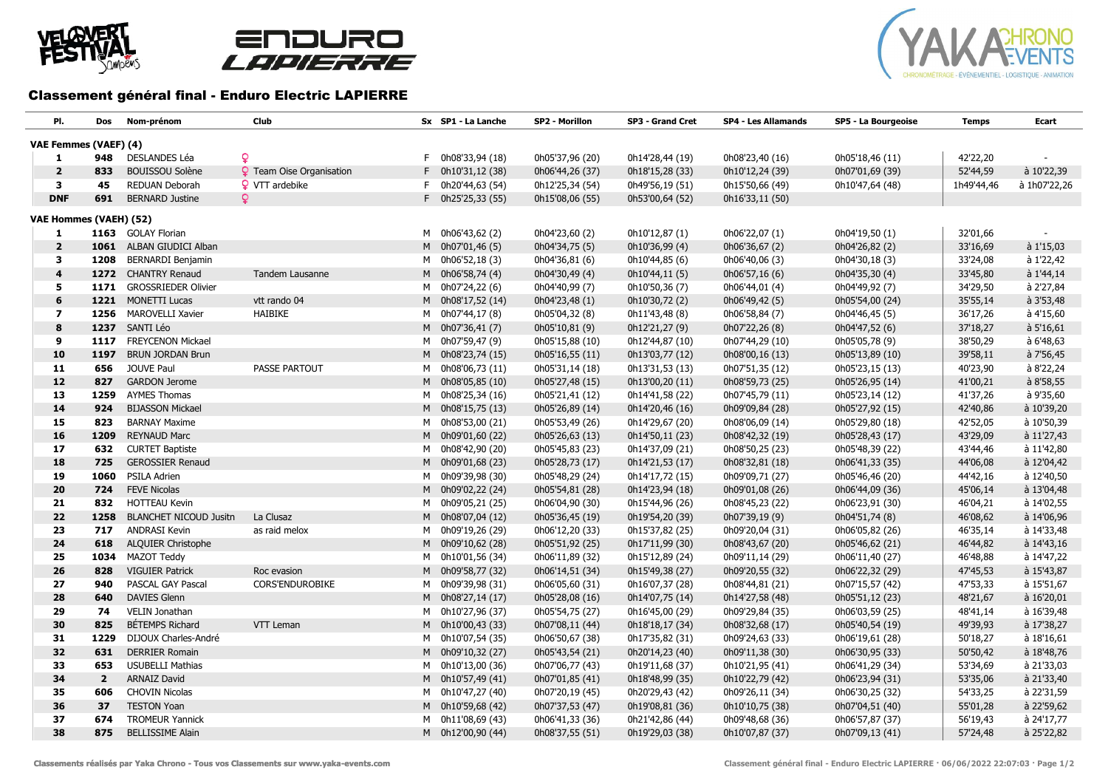





## Classement général final - Enduro Electric LAPIERRE

| PI.                           | Dos            | Nom-prénom                  | Club                            | Sx SP1 - La Lanche   | SP2 - Morillon  | SP3 - Grand Cret | <b>SP4 - Les Allamands</b> | SP5 - La Bourgeoise | <b>Temps</b> | Ecart        |
|-------------------------------|----------------|-----------------------------|---------------------------------|----------------------|-----------------|------------------|----------------------------|---------------------|--------------|--------------|
| VAE Femmes (VAEF) (4)         |                |                             |                                 |                      |                 |                  |                            |                     |              |              |
| 1                             | 948            | DESLANDES Léa               | $\mathbf Q$                     | $F$ 0h08'33,94 (18)  | 0h05'37,96 (20) | 0h14'28,44 (19)  | 0h08'23,40 (16)            | 0h05'18,46 (11)     | 42'22,20     |              |
| $\overline{2}$                | 833            | <b>BOUISSOU Solène</b>      | <b>Q</b> Team Oise Organisation | $F$ 0h10'31,12 (38)  | 0h06'44,26 (37) | 0h18'15,28 (33)  | 0h10'12,24 (39)            | 0h07'01,69 (39)     | 52'44,59     | à 10'22,39   |
| 3                             | 45             | REDUAN Deborah              | <b>Q</b> VTT ardebike           | $F = 0h20'44,63(54)$ | 0h12'25,34 (54) | 0h49'56,19 (51)  | 0h15'50,66 (49)            | 0h10'47,64 (48)     | 1h49'44,46   | à 1h07'22,26 |
| <b>DNF</b>                    | 691            | <b>BERNARD Justine</b>      | Q.                              | F 0h25'25,33 (55)    | 0h15'08,06 (55) | 0h53'00,64 (52)  | 0h16'33,11 (50)            |                     |              |              |
| <b>VAE Hommes (VAEH) (52)</b> |                |                             |                                 |                      |                 |                  |                            |                     |              |              |
| 1                             |                | 1163 GOLAY Florian          |                                 | M 0h06'43,62 (2)     | 0h04'23,60 (2)  | 0h10'12,87 (1)   | 0h06'22,07 (1)             | 0h04'19,50 (1)      | 32'01,66     |              |
| $\overline{\mathbf{2}}$       |                | 1061 ALBAN GIUDICI Alban    |                                 | M 0h07'01,46 (5)     | 0h04'34,75 (5)  | 0h10'36,99 (4)   | 0h06'36,67 (2)             | 0h04'26,82 (2)      | 33'16,69     | à 1'15,03    |
| 3                             |                | 1208 BERNARDI Benjamin      |                                 | M 0h06'52,18 (3)     | 0h04'36,81 (6)  | 0h10'44,85 (6)   | 0h06'40,06 (3)             | 0h04'30,18 (3)      | 33'24,08     | à 1'22,42    |
| $\overline{\mathbf{4}}$       |                | 1272 CHANTRY Renaud         | Tandem Lausanne                 | M 0h06'58,74 (4)     | 0h04'30,49 (4)  | 0h10'44,11 (5)   | 0h06'57,16 (6)             | 0h04'35,30 (4)      | 33'45,80     | à 1'44,14    |
| 5                             |                | 1171 GROSSRIEDER Olivier    |                                 | M 0h07'24,22 (6)     | 0h04'40,99 (7)  | 0h10'50,36 (7)   | 0h06'44,01 (4)             | 0h04'49,92 (7)      | 34'29,50     | à 2'27,84    |
| 6                             |                | 1221 MONETTI Lucas          | vtt rando 04                    | M 0h08'17,52 (14)    | 0h04'23,48 (1)  | 0h10'30,72 (2)   | 0h06'49,42 (5)             | 0h05'54,00 (24)     | 35'55,14     | à 3'53,48    |
| $\overline{\mathbf{z}}$       |                | 1256 MAROVELLI Xavier       | HAIBIKE                         | M 0h07'44,17 (8)     | 0h05'04,32 (8)  | 0h11'43,48 (8)   | 0h06'58,84 (7)             | 0h04'46,45 (5)      | 36'17,26     | à 4'15,60    |
| 8                             |                | 1237 SANTI Léo              |                                 | M 0h07'36,41 (7)     | 0h05'10,81 (9)  | 0h12'21,27 (9)   | 0h07'22,26 (8)             | 0h04'47,52 (6)      | 37'18,27     | à 5'16,61    |
| 9                             |                | 1117 FREYCENON Mickael      |                                 | M 0h07'59,47 (9)     | 0h05'15,88 (10) | 0h12'44,87 (10)  | 0h07'44,29 (10)            | 0h05'05,78 (9)      | 38'50,29     | à 6'48,63    |
| 10                            |                | 1197 BRUN JORDAN Brun       |                                 | M 0h08'23,74 (15)    | 0h05'16,55 (11) | 0h13'03,77 (12)  | 0h08'00,16 (13)            | 0h05'13,89 (10)     | 39'58,11     | à 7'56,45    |
| 11                            | 656            | JOUVE Paul                  | <b>PASSE PARTOUT</b>            | M 0h08'06,73 (11)    | 0h05'31,14 (18) | 0h13'31,53 (13)  | 0h07'51,35 (12)            | 0h05'23,15 (13)     | 40'23,90     | à 8'22,24    |
| 12                            | 827            | <b>GARDON Jerome</b>        |                                 | M 0h08'05,85 (10)    | 0h05'27,48 (15) | 0h13'00,20 (11)  | 0h08'59,73 (25)            | 0h05'26,95 (14)     | 41'00,21     | à 8'58,55    |
| 13                            |                | 1259 AYMES Thomas           |                                 | M 0h08'25,34 (16)    | 0h05'21,41 (12) | 0h14'41,58 (22)  | 0h07'45,79 (11)            | 0h05'23,14 (12)     | 41'37,26     | à 9'35,60    |
| 14                            | 924            | <b>BIJASSON Mickael</b>     |                                 | M 0h08'15,75 (13)    | 0h05'26,89 (14) | 0h14'20,46 (16)  | 0h09'09,84 (28)            | 0h05'27,92 (15)     | 42'40,86     | à 10'39,20   |
| 15                            | 823            | <b>BARNAY Maxime</b>        |                                 | M 0h08'53,00 (21)    | 0h05'53,49 (26) | 0h14'29,67 (20)  | 0h08'06,09 (14)            | 0h05'29,80 (18)     | 42'52,05     | à 10'50,39   |
| 16                            | 1209           | <b>REYNAUD Marc</b>         |                                 | M 0h09'01,60 (22)    | 0h05'26,63 (13) | 0h14'50,11 (23)  | 0h08'42,32 (19)            | 0h05'28,43 (17)     | 43'29,09     | à 11'27,43   |
| 17                            | 632            | <b>CURTET Baptiste</b>      |                                 | M 0h08'42,90 (20)    | 0h05'45,83 (23) | 0h14'37,09 (21)  | 0h08'50,25 (23)            | 0h05'48,39 (22)     | 43'44,46     | à 11'42,80   |
| 18                            | 725            | <b>GEROSSIER Renaud</b>     |                                 | M 0h09'01,68 (23)    | 0h05'28,73 (17) | 0h14'21,53 (17)  | 0h08'32,81 (18)            | 0h06'41,33 (35)     | 44'06,08     | à 12'04,42   |
| 19                            | 1060           | PSILA Adrien                |                                 | M 0h09'39,98 (30)    | 0h05'48,29 (24) | 0h14'17,72 (15)  | 0h09'09,71 (27)            | 0h05'46,46 (20)     | 44'42,16     | à 12'40,50   |
| 20                            | 724            | <b>FEVE Nicolas</b>         |                                 | M 0h09'02,22 (24)    | 0h05'54,81 (28) | 0h14'23,94 (18)  | 0h09'01,08 (26)            | 0h06'44,09 (36)     | 45'06,14     | à 13'04,48   |
| 21                            | 832            | <b>HOTTEAU Kevin</b>        |                                 | M 0h09'05,21 (25)    | 0h06'04,90 (30) | 0h15'44,96 (26)  | 0h08'45,23 (22)            | 0h06'23,91 (30)     | 46'04,21     | à 14'02,55   |
| 22                            |                | 1258 BLANCHET NICOUD Jusitn | La Clusaz                       | M 0h08'07,04 (12)    | 0h05'36,45 (19) | 0h19'54,20 (39)  | 0h07'39,19 (9)             | 0h04'51,74 (8)      | 46'08,62     | à 14'06,96   |
| 23                            | 717            | <b>ANDRASI Kevin</b>        | as raid melox                   | M 0h09'19,26 (29)    | 0h06'12,20 (33) | 0h15'37,82 (25)  | 0h09'20,04 (31)            | 0h06'05,82 (26)     | 46'35,14     | à 14'33,48   |
| 24                            | 618            | <b>ALQUIER Christophe</b>   |                                 | M 0h09'10,62 (28)    | 0h05'51,92 (25) | 0h17'11,99 (30)  | 0h08'43,67 (20)            | 0h05'46,62 (21)     | 46'44,82     | à 14'43,16   |
| 25                            |                | 1034 MAZOT Teddy            |                                 | M 0h10'01,56 (34)    | 0h06'11,89 (32) | 0h15'12,89 (24)  | 0h09'11,14 (29)            | 0h06'11,40 (27)     | 46'48,88     | à 14'47,22   |
| 26                            | 828            | <b>VIGUIER Patrick</b>      | Roc evasion                     | M 0h09'58,77 (32)    | 0h06'14,51 (34) | 0h15'49,38 (27)  | 0h09'20,55 (32)            | 0h06'22,32 (29)     | 47'45,53     | à 15'43,87   |
| 27                            | 940            | PASCAL GAY Pascal           | <b>CORS'ENDUROBIKE</b>          | M 0h09'39,98 (31)    | 0h06'05,60 (31) | 0h16'07,37 (28)  | 0h08'44,81 (21)            | 0h07'15,57 (42)     | 47'53,33     | à 15'51,67   |
| 28                            | 640            | <b>DAVIES Glenn</b>         |                                 | M 0h08'27,14 (17)    | 0h05'28,08 (16) | 0h14'07,75 (14)  | 0h14'27,58 (48)            | 0h05'51,12 (23)     | 48'21,67     | à 16'20,01   |
| 29                            | 74             | VELIN Jonathan              |                                 | M 0h10'27,96 (37)    | 0h05'54,75 (27) | 0h16'45,00 (29)  | 0h09'29,84 (35)            | 0h06'03,59 (25)     | 48'41,14     | à 16'39,48   |
| 30                            | 825            | BETEMPS Richard             | VTT Leman                       | M 0h10'00,43 (33)    | 0h07'08,11 (44) | 0h18'18,17 (34)  | 0h08'32,68 (17)            | 0h05'40,54 (19)     | 49'39,93     | à 17'38,27   |
| 31                            | 1229           | DIJOUX Charles-André        |                                 | M 0h10'07,54 (35)    | 0h06'50,67 (38) | 0h17'35,82 (31)  | 0h09'24,63 (33)            | 0h06'19,61 (28)     | 50'18,27     | à 18'16,61   |
| 32                            | 631            | <b>DERRIER Romain</b>       |                                 | M 0h09'10,32 (27)    | 0h05'43,54 (21) | 0h20'14,23 (40)  | 0h09'11,38 (30)            | 0h06'30,95 (33)     | 50'50,42     | à 18'48,76   |
| 33                            | 653            | <b>USUBELLI Mathias</b>     |                                 | M 0h10'13,00 (36)    | 0h07'06,77 (43) | 0h19'11,68 (37)  | 0h10'21,95 (41)            | 0h06'41,29 (34)     | 53'34,69     | à 21'33,03   |
| 34                            | $\overline{2}$ | <b>ARNAIZ David</b>         |                                 | M 0h10'57,49 (41)    | 0h07'01,85 (41) | 0h18'48,99 (35)  | 0h10'22,79 (42)            | 0h06'23,94 (31)     | 53'35,06     | à 21'33,40   |
| 35                            | 606            | <b>CHOVIN Nicolas</b>       |                                 | M 0h10'47,27 (40)    | 0h07'20,19 (45) | 0h20'29,43 (42)  | 0h09'26,11 (34)            | 0h06'30,25 (32)     | 54'33,25     | à 22'31,59   |
| 36                            | 37             | <b>TESTON Yoan</b>          |                                 | M 0h10'59,68 (42)    | 0h07'37,53 (47) | 0h19'08,81 (36)  | 0h10'10,75 (38)            | 0h07'04,51 (40)     | 55'01,28     | à 22'59,62   |
| 37                            | 674            | <b>TROMEUR Yannick</b>      |                                 | M 0h11'08,69 (43)    | 0h06'41,33 (36) | 0h21'42,86 (44)  | 0h09'48,68 (36)            | 0h06'57,87 (37)     | 56'19,43     | à 24'17,77   |
| 38                            | 875            | <b>BELLISSIME Alain</b>     |                                 | M 0h12'00,90 (44)    | 0h08'37,55 (51) | 0h19'29,03 (38)  | 0h10'07,87 (37)            | 0h07'09,13 (41)     | 57'24,48     | à 25'22,82   |